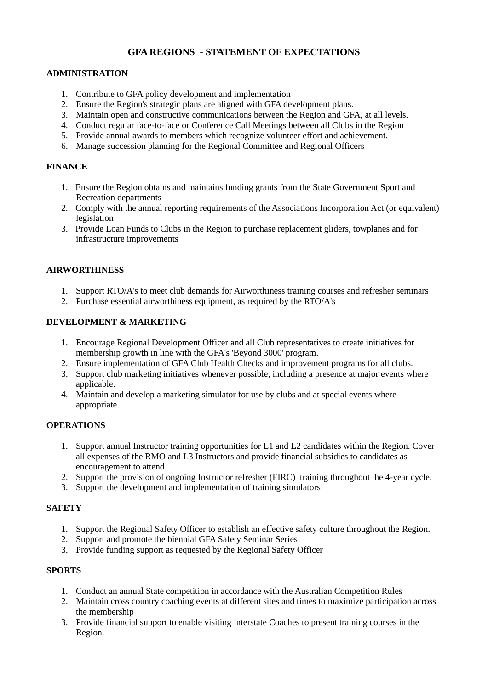# **GFA REGIONS - STATEMENT OF EXPECTATIONS**

## **ADMINISTRATION**

- 1. Contribute to GFA policy development and implementation
- 2. Ensure the Region's strategic plans are aligned with GFA development plans.
- 3. Maintain open and constructive communications between the Region and GFA, at all levels.
- 4. Conduct regular face-to-face or Conference Call Meetings between all Clubs in the Region
- 5. Provide annual awards to members which recognize volunteer effort and achievement.
- 6. Manage succession planning for the Regional Committee and Regional Officers

# **FINANCE**

- 1. Ensure the Region obtains and maintains funding grants from the State Government Sport and Recreation departments
- 2. Comply with the annual reporting requirements of the Associations Incorporation Act (or equivalent) legislation
- 3. Provide Loan Funds to Clubs in the Region to purchase replacement gliders, towplanes and for infrastructure improvements

## **AIRWORTHINESS**

- 1. Support RTO/A's to meet club demands for Airworthiness training courses and refresher seminars
- 2. Purchase essential airworthiness equipment, as required by the RTO/A's

## **DEVELOPMENT & MARKETING**

- 1. Encourage Regional Development Officer and all Club representatives to create initiatives for membership growth in line with the GFA's 'Beyond 3000' program.
- 2. Ensure implementation of GFA Club Health Checks and improvement programs for all clubs.
- 3. Support club marketing initiatives whenever possible, including a presence at major events where applicable.
- 4. Maintain and develop a marketing simulator for use by clubs and at special events where appropriate.

#### **OPERATIONS**

- 1. Support annual Instructor training opportunities for L1 and L2 candidates within the Region. Cover all expenses of the RMO and L3 Instructors and provide financial subsidies to candidates as encouragement to attend.
- 2. Support the provision of ongoing Instructor refresher (FIRC) training throughout the 4-year cycle.
- 3. Support the development and implementation of training simulators

## **SAFETY**

- 1. Support the Regional Safety Officer to establish an effective safety culture throughout the Region.
- 2. Support and promote the biennial GFA Safety Seminar Series
- 3. Provide funding support as requested by the Regional Safety Officer

#### **SPORTS**

- 1. Conduct an annual State competition in accordance with the Australian Competition Rules
- 2. Maintain cross country coaching events at different sites and times to maximize participation across the membership
- 3. Provide financial support to enable visiting interstate Coaches to present training courses in the Region.